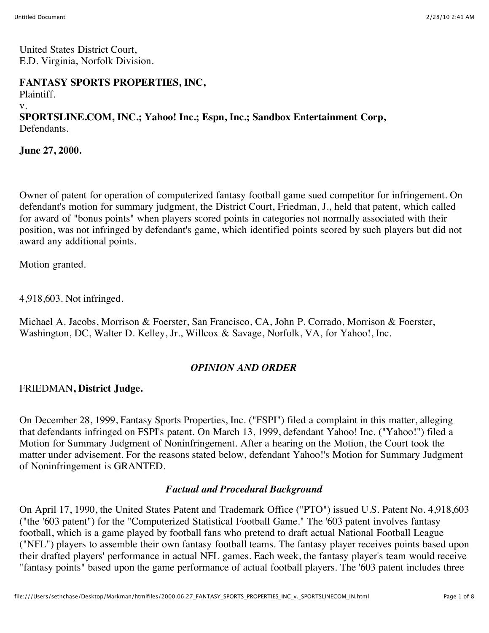United States District Court, E.D. Virginia, Norfolk Division.

## **FANTASY SPORTS PROPERTIES, INC,**

Plaintiff.

v.

# **SPORTSLINE.COM, INC.; Yahoo! Inc.; Espn, Inc.; Sandbox Entertainment Corp,** Defendants.

**June 27, 2000.**

Owner of patent for operation of computerized fantasy football game sued competitor for infringement. On defendant's motion for summary judgment, the District Court, Friedman, J., held that patent, which called for award of "bonus points" when players scored points in categories not normally associated with their position, was not infringed by defendant's game, which identified points scored by such players but did not award any additional points.

Motion granted.

4,918,603. Not infringed.

Michael A. Jacobs, Morrison & Foerster, San Francisco, CA, John P. Corrado, Morrison & Foerster, Washington, DC, Walter D. Kelley, Jr., Willcox & Savage, Norfolk, VA, for Yahoo!, Inc.

# *OPINION AND ORDER*

FRIEDMAN**, District Judge.**

On December 28, 1999, Fantasy Sports Properties, Inc. ("FSPI") filed a complaint in this matter, alleging that defendants infringed on FSPI's patent. On March 13, 1999, defendant Yahoo! Inc. ("Yahoo!") filed a Motion for Summary Judgment of Noninfringement. After a hearing on the Motion, the Court took the matter under advisement. For the reasons stated below, defendant Yahoo!'s Motion for Summary Judgment of Noninfringement is GRANTED.

#### *Factual and Procedural Background*

On April 17, 1990, the United States Patent and Trademark Office ("PTO") issued U.S. Patent No. 4,918,603 ("the '603 patent") for the "Computerized Statistical Football Game." The '603 patent involves fantasy football, which is a game played by football fans who pretend to draft actual National Football League ("NFL") players to assemble their own fantasy football teams. The fantasy player receives points based upon their drafted players' performance in actual NFL games. Each week, the fantasy player's team would receive "fantasy points" based upon the game performance of actual football players. The '603 patent includes three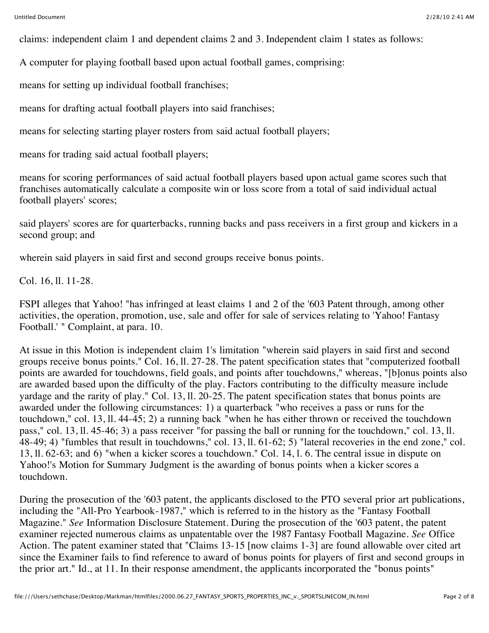claims: independent claim 1 and dependent claims 2 and 3. Independent claim 1 states as follows:

A computer for playing football based upon actual football games, comprising:

means for setting up individual football franchises;

means for drafting actual football players into said franchises;

means for selecting starting player rosters from said actual football players;

means for trading said actual football players;

means for scoring performances of said actual football players based upon actual game scores such that franchises automatically calculate a composite win or loss score from a total of said individual actual football players' scores;

said players' scores are for quarterbacks, running backs and pass receivers in a first group and kickers in a second group; and

wherein said players in said first and second groups receive bonus points.

Col. 16, ll. 11-28.

FSPI alleges that Yahoo! "has infringed at least claims 1 and 2 of the '603 Patent through, among other activities, the operation, promotion, use, sale and offer for sale of services relating to 'Yahoo! Fantasy Football.' " Complaint, at para. 10.

At issue in this Motion is independent claim 1's limitation "wherein said players in said first and second groups receive bonus points." Col. 16, ll. 27-28. The patent specification states that "computerized football points are awarded for touchdowns, field goals, and points after touchdowns," whereas, "[b]onus points also are awarded based upon the difficulty of the play. Factors contributing to the difficulty measure include yardage and the rarity of play." Col. 13, ll. 20-25. The patent specification states that bonus points are awarded under the following circumstances: 1) a quarterback "who receives a pass or runs for the touchdown," col. 13, ll. 44-45; 2) a running back "when he has either thrown or received the touchdown pass," col. 13, ll. 45-46; 3) a pass receiver "for passing the ball or running for the touchdown," col. 13, ll. 48-49; 4) "fumbles that result in touchdowns," col. 13, ll. 61-62; 5) "lateral recoveries in the end zone," col. 13, ll. 62-63; and 6) "when a kicker scores a touchdown." Col. 14, l. 6. The central issue in dispute on Yahoo!'s Motion for Summary Judgment is the awarding of bonus points when a kicker scores a touchdown.

During the prosecution of the '603 patent, the applicants disclosed to the PTO several prior art publications, including the "All-Pro Yearbook-1987," which is referred to in the history as the "Fantasy Football Magazine." *See* Information Disclosure Statement. During the prosecution of the '603 patent, the patent examiner rejected numerous claims as unpatentable over the 1987 Fantasy Football Magazine. *See* Office Action. The patent examiner stated that "Claims 13-15 [now claims 1-3] are found allowable over cited art since the Examiner fails to find reference to award of bonus points for players of first and second groups in the prior art." Id., at 11. In their response amendment, the applicants incorporated the "bonus points"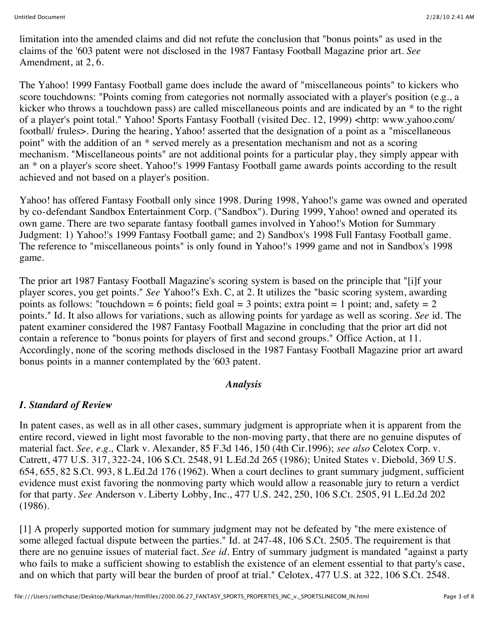limitation into the amended claims and did not refute the conclusion that "bonus points" as used in the claims of the '603 patent were not disclosed in the 1987 Fantasy Football Magazine prior art. *See* Amendment, at 2, 6.

The Yahoo! 1999 Fantasy Football game does include the award of "miscellaneous points" to kickers who score touchdowns: "Points coming from categories not normally associated with a player's position (e.g., a kicker who throws a touchdown pass) are called miscellaneous points and are indicated by an \* to the right of a player's point total." Yahoo! Sports Fantasy Football (visited Dec. 12, 1999) <http: www.yahoo.com/ football/ frules>. During the hearing, Yahoo! asserted that the designation of a point as a "miscellaneous point" with the addition of an \* served merely as a presentation mechanism and not as a scoring mechanism. "Miscellaneous points" are not additional points for a particular play, they simply appear with an \* on a player's score sheet. Yahoo!'s 1999 Fantasy Football game awards points according to the result achieved and not based on a player's position.

Yahoo! has offered Fantasy Football only since 1998. During 1998, Yahoo!'s game was owned and operated by co-defendant Sandbox Entertainment Corp. ("Sandbox"). During 1999, Yahoo! owned and operated its own game. There are two separate fantasy football games involved in Yahoo!'s Motion for Summary Judgment: 1) Yahoo!'s 1999 Fantasy Football game; and 2) Sandbox's 1998 Full Fantasy Football game. The reference to "miscellaneous points" is only found in Yahoo!'s 1999 game and not in Sandbox's 1998 game.

The prior art 1987 Fantasy Football Magazine's scoring system is based on the principle that "[i]f your player scores, you get points." *See* Yahoo!'s Exh. C, at 2. It utilizes the "basic scoring system, awarding points as follows: "touchdown = 6 points; field goal = 3 points; extra point = 1 point; and, safety = 2 points." Id. It also allows for variations, such as allowing points for yardage as well as scoring. *See* id. The patent examiner considered the 1987 Fantasy Football Magazine in concluding that the prior art did not contain a reference to "bonus points for players of first and second groups." Office Action, at 11. Accordingly, none of the scoring methods disclosed in the 1987 Fantasy Football Magazine prior art award bonus points in a manner contemplated by the '603 patent.

#### *Analysis*

# *I. Standard of Review*

In patent cases, as well as in all other cases, summary judgment is appropriate when it is apparent from the entire record, viewed in light most favorable to the non-moving party, that there are no genuine disputes of material fact. *See, e.g.,* Clark v. Alexander, 85 F.3d 146, 150 (4th Cir.1996); *see also* Celotex Corp. v. Catrett, 477 U.S. 317, 322-24, 106 S.Ct. 2548, 91 L.Ed.2d 265 (1986); United States v. Diebold, 369 U.S. 654, 655, 82 S.Ct. 993, 8 L.Ed.2d 176 (1962). When a court declines to grant summary judgment, sufficient evidence must exist favoring the nonmoving party which would allow a reasonable jury to return a verdict for that party. *See* Anderson v. Liberty Lobby, Inc., 477 U.S. 242, 250, 106 S.Ct. 2505, 91 L.Ed.2d 202 (1986).

[1] A properly supported motion for summary judgment may not be defeated by "the mere existence of some alleged factual dispute between the parties." Id. at 247-48, 106 S.Ct. 2505. The requirement is that there are no genuine issues of material fact. *See id.* Entry of summary judgment is mandated "against a party who fails to make a sufficient showing to establish the existence of an element essential to that party's case, and on which that party will bear the burden of proof at trial." Celotex, 477 U.S. at 322, 106 S.Ct. 2548.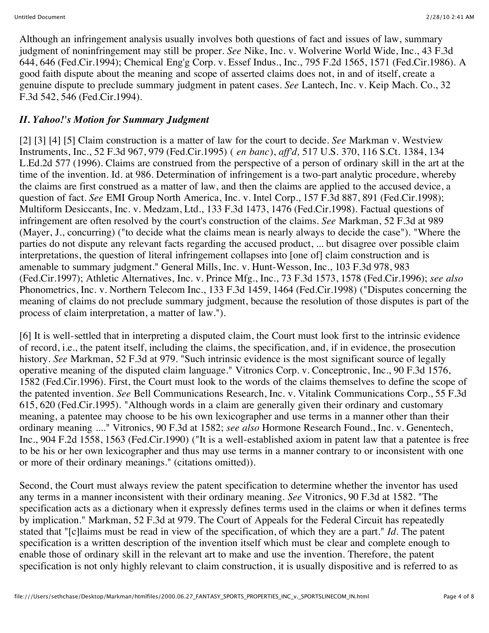Although an infringement analysis usually involves both questions of fact and issues of law, summary judgment of noninfringement may still be proper. *See* Nike, Inc. v. Wolverine World Wide, Inc., 43 F.3d 644, 646 (Fed.Cir.1994); Chemical Eng'g Corp. v. Essef Indus., Inc., 795 F.2d 1565, 1571 (Fed.Cir.1986). A good faith dispute about the meaning and scope of asserted claims does not, in and of itself, create a genuine dispute to preclude summary judgment in patent cases. *See* Lantech, Inc. v. Keip Mach. Co., 32 F.3d 542, 546 (Fed.Cir.1994).

### *II. Yahoo!'s Motion for Summary Judgment*

[2] [3] [4] [5] Claim construction is a matter of law for the court to decide. *See* Markman v. Westview Instruments, Inc., 52 F.3d 967, 979 (Fed.Cir.1995) ( *en banc*), *aff'd,* 517 U.S. 370, 116 S.Ct. 1384, 134 L.Ed.2d 577 (1996). Claims are construed from the perspective of a person of ordinary skill in the art at the time of the invention. Id. at 986. Determination of infringement is a two-part analytic procedure, whereby the claims are first construed as a matter of law, and then the claims are applied to the accused device, a question of fact. *See* EMI Group North America, Inc. v. Intel Corp., 157 F.3d 887, 891 (Fed.Cir.1998); Multiform Desiccants, Inc. v. Medzam, Ltd., 133 F.3d 1473, 1476 (Fed.Cir.1998). Factual questions of infringement are often resolved by the court's construction of the claims. *See* Markman, 52 F.3d at 989 (Mayer, J., concurring) ("to decide what the claims mean is nearly always to decide the case"). "Where the parties do not dispute any relevant facts regarding the accused product, ... but disagree over possible claim interpretations, the question of literal infringement collapses into [one of] claim construction and is amenable to summary judgment." General Mills, Inc. v. Hunt-Wesson, Inc., 103 F.3d 978, 983 (Fed.Cir.1997); Athletic Alternatives, Inc. v. Prince Mfg., Inc., 73 F.3d 1573, 1578 (Fed.Cir.1996); *see also* Phonometrics, Inc. v. Northern Telecom Inc., 133 F.3d 1459, 1464 (Fed.Cir.1998) ("Disputes concerning the meaning of claims do not preclude summary judgment, because the resolution of those disputes is part of the process of claim interpretation, a matter of law.").

[6] It is well-settled that in interpreting a disputed claim, the Court must look first to the intrinsic evidence of record, i.e., the patent itself, including the claims, the specification, and, if in evidence, the prosecution history. *See* Markman, 52 F.3d at 979. "Such intrinsic evidence is the most significant source of legally operative meaning of the disputed claim language." Vitronics Corp. v. Conceptronic, Inc., 90 F.3d 1576, 1582 (Fed.Cir.1996). First, the Court must look to the words of the claims themselves to define the scope of the patented invention. *See* Bell Communications Research, Inc. v. Vitalink Communications Corp., 55 F.3d 615, 620 (Fed.Cir.1995). "Although words in a claim are generally given their ordinary and customary meaning, a patentee may choose to be his own lexicographer and use terms in a manner other than their ordinary meaning ...." Vitronics, 90 F.3d at 1582; *see also* Hormone Research Found., Inc. v. Genentech, Inc., 904 F.2d 1558, 1563 (Fed.Cir.1990) ("It is a well-established axiom in patent law that a patentee is free to be his or her own lexicographer and thus may use terms in a manner contrary to or inconsistent with one or more of their ordinary meanings." (citations omitted)).

Second, the Court must always review the patent specification to determine whether the inventor has used any terms in a manner inconsistent with their ordinary meaning. *See* Vitronics, 90 F.3d at 1582. "The specification acts as a dictionary when it expressly defines terms used in the claims or when it defines terms by implication." Markman, 52 F.3d at 979. The Court of Appeals for the Federal Circuit has repeatedly stated that "[c]laims must be read in view of the specification, of which they are a part." *Id.* The patent specification is a written description of the invention itself which must be clear and complete enough to enable those of ordinary skill in the relevant art to make and use the invention. Therefore, the patent specification is not only highly relevant to claim construction, it is usually dispositive and is referred to as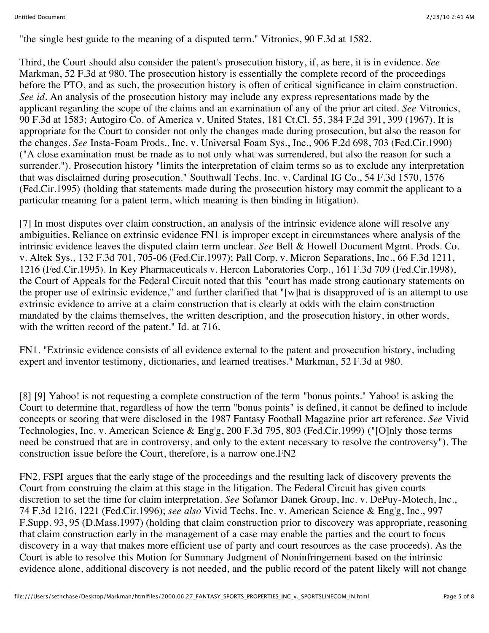"the single best guide to the meaning of a disputed term." Vitronics, 90 F.3d at 1582.

Third, the Court should also consider the patent's prosecution history, if, as here, it is in evidence. *See* Markman, 52 F.3d at 980. The prosecution history is essentially the complete record of the proceedings before the PTO, and as such, the prosecution history is often of critical significance in claim construction. *See id.* An analysis of the prosecution history may include any express representations made by the applicant regarding the scope of the claims and an examination of any of the prior art cited. *See* Vitronics, 90 F.3d at 1583; Autogiro Co. of America v. United States, 181 Ct.Cl. 55, 384 F.2d 391, 399 (1967). It is appropriate for the Court to consider not only the changes made during prosecution, but also the reason for the changes. *See* Insta-Foam Prods., Inc. v. Universal Foam Sys., Inc., 906 F.2d 698, 703 (Fed.Cir.1990) ("A close examination must be made as to not only what was surrendered, but also the reason for such a surrender."). Prosecution history "limits the interpretation of claim terms so as to exclude any interpretation that was disclaimed during prosecution." Southwall Techs. Inc. v. Cardinal IG Co., 54 F.3d 1570, 1576 (Fed.Cir.1995) (holding that statements made during the prosecution history may commit the applicant to a particular meaning for a patent term, which meaning is then binding in litigation).

[7] In most disputes over claim construction, an analysis of the intrinsic evidence alone will resolve any ambiguities. Reliance on extrinsic evidence FN1 is improper except in circumstances where analysis of the intrinsic evidence leaves the disputed claim term unclear. *See* Bell & Howell Document Mgmt. Prods. Co. v. Altek Sys., 132 F.3d 701, 705-06 (Fed.Cir.1997); Pall Corp. v. Micron Separations, Inc., 66 F.3d 1211, 1216 (Fed.Cir.1995). In Key Pharmaceuticals v. Hercon Laboratories Corp., 161 F.3d 709 (Fed.Cir.1998), the Court of Appeals for the Federal Circuit noted that this "court has made strong cautionary statements on the proper use of extrinsic evidence," and further clarified that "[w]hat is disapproved of is an attempt to use extrinsic evidence to arrive at a claim construction that is clearly at odds with the claim construction mandated by the claims themselves, the written description, and the prosecution history, in other words, with the written record of the patent." Id. at 716.

FN1. "Extrinsic evidence consists of all evidence external to the patent and prosecution history, including expert and inventor testimony, dictionaries, and learned treatises." Markman, 52 F.3d at 980.

[8] [9] Yahoo! is not requesting a complete construction of the term "bonus points." Yahoo! is asking the Court to determine that, regardless of how the term "bonus points" is defined, it cannot be defined to include concepts or scoring that were disclosed in the 1987 Fantasy Football Magazine prior art reference. *See* Vivid Technologies, Inc. v. American Science & Eng'g, 200 F.3d 795, 803 (Fed.Cir.1999) ("[O]nly those terms need be construed that are in controversy, and only to the extent necessary to resolve the controversy"). The construction issue before the Court, therefore, is a narrow one.FN2

FN2. FSPI argues that the early stage of the proceedings and the resulting lack of discovery prevents the Court from construing the claim at this stage in the litigation. The Federal Circuit has given courts discretion to set the time for claim interpretation. *See* Sofamor Danek Group, Inc. v. DePuy-Motech, Inc., 74 F.3d 1216, 1221 (Fed.Cir.1996); *see also* Vivid Techs. Inc. v. American Science & Eng'g, Inc., 997 F.Supp. 93, 95 (D.Mass.1997) (holding that claim construction prior to discovery was appropriate, reasoning that claim construction early in the management of a case may enable the parties and the court to focus discovery in a way that makes more efficient use of party and court resources as the case proceeds). As the Court is able to resolve this Motion for Summary Judgment of Noninfringement based on the intrinsic evidence alone, additional discovery is not needed, and the public record of the patent likely will not change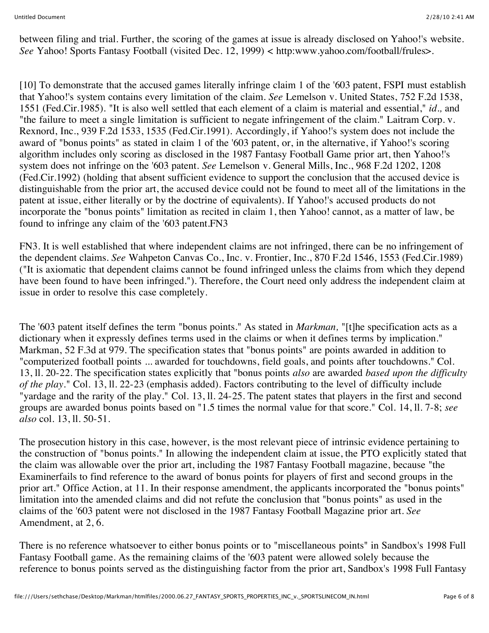between filing and trial. Further, the scoring of the games at issue is already disclosed on Yahoo!'s website. *See* Yahoo! Sports Fantasy Football (visited Dec. 12, 1999) < http:www.yahoo.com/football/frules>.

[10] To demonstrate that the accused games literally infringe claim 1 of the '603 patent, FSPI must establish that Yahoo!'s system contains every limitation of the claim. *See* Lemelson v. United States, 752 F.2d 1538, 1551 (Fed.Cir.1985). "It is also well settled that each element of a claim is material and essential," *id.,* and "the failure to meet a single limitation is sufficient to negate infringement of the claim." Laitram Corp. v. Rexnord, Inc., 939 F.2d 1533, 1535 (Fed.Cir.1991). Accordingly, if Yahoo!'s system does not include the award of "bonus points" as stated in claim 1 of the '603 patent, or, in the alternative, if Yahoo!'s scoring algorithm includes only scoring as disclosed in the 1987 Fantasy Football Game prior art, then Yahoo!'s system does not infringe on the '603 patent. *See* Lemelson v. General Mills, Inc., 968 F.2d 1202, 1208 (Fed.Cir.1992) (holding that absent sufficient evidence to support the conclusion that the accused device is distinguishable from the prior art, the accused device could not be found to meet all of the limitations in the patent at issue, either literally or by the doctrine of equivalents). If Yahoo!'s accused products do not incorporate the "bonus points" limitation as recited in claim 1, then Yahoo! cannot, as a matter of law, be found to infringe any claim of the '603 patent.FN3

FN3. It is well established that where independent claims are not infringed, there can be no infringement of the dependent claims. *See* Wahpeton Canvas Co., Inc. v. Frontier, Inc., 870 F.2d 1546, 1553 (Fed.Cir.1989) ("It is axiomatic that dependent claims cannot be found infringed unless the claims from which they depend have been found to have been infringed."). Therefore, the Court need only address the independent claim at issue in order to resolve this case completely.

The '603 patent itself defines the term "bonus points." As stated in *Markman,* "[t]he specification acts as a dictionary when it expressly defines terms used in the claims or when it defines terms by implication." Markman, 52 F.3d at 979. The specification states that "bonus points" are points awarded in addition to "computerized football points ... awarded for touchdowns, field goals, and points after touchdowns." Col. 13, ll. 20-22. The specification states explicitly that "bonus points *also* are awarded *based upon the difficulty of the play.*" Col. 13, ll. 22-23 (emphasis added). Factors contributing to the level of difficulty include "yardage and the rarity of the play." Col. 13, ll. 24-25. The patent states that players in the first and second groups are awarded bonus points based on "1.5 times the normal value for that score." Col. 14, ll. 7-8; *see also* col. 13, ll. 50-51.

The prosecution history in this case, however, is the most relevant piece of intrinsic evidence pertaining to the construction of "bonus points." In allowing the independent claim at issue, the PTO explicitly stated that the claim was allowable over the prior art, including the 1987 Fantasy Football magazine, because "the Examinerfails to find reference to the award of bonus points for players of first and second groups in the prior art." Office Action, at 11. In their response amendment, the applicants incorporated the "bonus points" limitation into the amended claims and did not refute the conclusion that "bonus points" as used in the claims of the '603 patent were not disclosed in the 1987 Fantasy Football Magazine prior art. *See* Amendment, at 2, 6.

There is no reference whatsoever to either bonus points or to "miscellaneous points" in Sandbox's 1998 Full Fantasy Football game. As the remaining claims of the '603 patent were allowed solely because the reference to bonus points served as the distinguishing factor from the prior art, Sandbox's 1998 Full Fantasy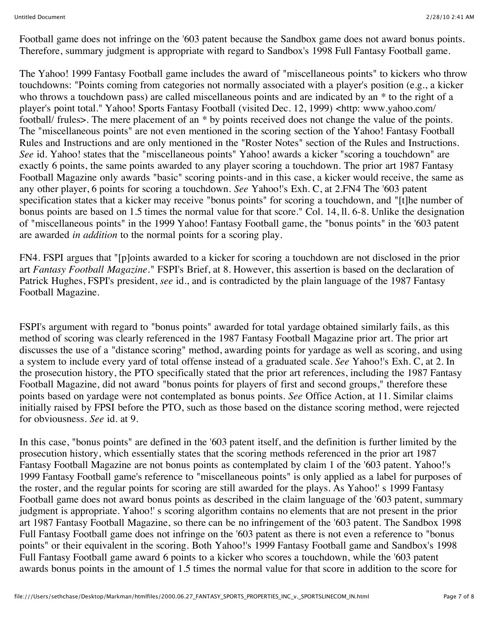Football game does not infringe on the '603 patent because the Sandbox game does not award bonus points. Therefore, summary judgment is appropriate with regard to Sandbox's 1998 Full Fantasy Football game.

The Yahoo! 1999 Fantasy Football game includes the award of "miscellaneous points" to kickers who throw touchdowns: "Points coming from categories not normally associated with a player's position (e.g., a kicker who throws a touchdown pass) are called miscellaneous points and are indicated by an  $*$  to the right of a player's point total." Yahoo! Sports Fantasy Football (visited Dec. 12, 1999) <http: www.yahoo.com/ football/ frules>. The mere placement of an \* by points received does not change the value of the points. The "miscellaneous points" are not even mentioned in the scoring section of the Yahoo! Fantasy Football Rules and Instructions and are only mentioned in the "Roster Notes" section of the Rules and Instructions. *See* id. Yahoo! states that the "miscellaneous points" Yahoo! awards a kicker "scoring a touchdown" are exactly 6 points, the same points awarded to any player scoring a touchdown. The prior art 1987 Fantasy Football Magazine only awards "basic" scoring points-and in this case, a kicker would receive, the same as any other player, 6 points for scoring a touchdown. *See* Yahoo!'s Exh. C, at 2.FN4 The '603 patent specification states that a kicker may receive "bonus points" for scoring a touchdown, and "[t]he number of bonus points are based on 1.5 times the normal value for that score." Col. 14, ll. 6-8. Unlike the designation of "miscellaneous points" in the 1999 Yahoo! Fantasy Football game, the "bonus points" in the '603 patent are awarded *in addition* to the normal points for a scoring play.

FN4. FSPI argues that "[p]oints awarded to a kicker for scoring a touchdown are not disclosed in the prior art *Fantasy Football Magazine.*" FSPI's Brief, at 8. However, this assertion is based on the declaration of Patrick Hughes, FSPI's president, *see* id., and is contradicted by the plain language of the 1987 Fantasy Football Magazine.

FSPI's argument with regard to "bonus points" awarded for total yardage obtained similarly fails, as this method of scoring was clearly referenced in the 1987 Fantasy Football Magazine prior art. The prior art discusses the use of a "distance scoring" method, awarding points for yardage as well as scoring, and using a system to include every yard of total offense instead of a graduated scale. *See* Yahoo!'s Exh. C, at 2. In the prosecution history, the PTO specifically stated that the prior art references, including the 1987 Fantasy Football Magazine, did not award "bonus points for players of first and second groups," therefore these points based on yardage were not contemplated as bonus points. *See* Office Action, at 11. Similar claims initially raised by FPSI before the PTO, such as those based on the distance scoring method, were rejected for obviousness. *See* id. at 9.

In this case, "bonus points" are defined in the '603 patent itself, and the definition is further limited by the prosecution history, which essentially states that the scoring methods referenced in the prior art 1987 Fantasy Football Magazine are not bonus points as contemplated by claim 1 of the '603 patent. Yahoo!'s 1999 Fantasy Football game's reference to "miscellaneous points" is only applied as a label for purposes of the roster, and the regular points for scoring are still awarded for the plays. As Yahoo!' s 1999 Fantasy Football game does not award bonus points as described in the claim language of the '603 patent, summary judgment is appropriate. Yahoo!' s scoring algorithm contains no elements that are not present in the prior art 1987 Fantasy Football Magazine, so there can be no infringement of the '603 patent. The Sandbox 1998 Full Fantasy Football game does not infringe on the '603 patent as there is not even a reference to "bonus points" or their equivalent in the scoring. Both Yahoo!'s 1999 Fantasy Football game and Sandbox's 1998 Full Fantasy Football game award 6 points to a kicker who scores a touchdown, while the '603 patent awards bonus points in the amount of 1.5 times the normal value for that score in addition to the score for